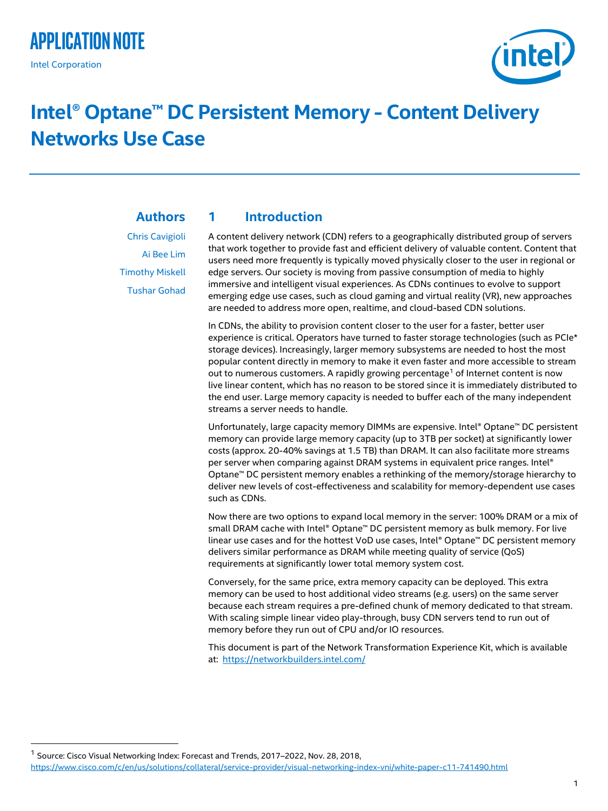## **Application Note** Intel Corporation

j



# **Intel® Optane™ DC Persistent Memory - Content Delivery Networks Use Case**

<span id="page-0-0"></span>**1 Introduction**

### **Authors**

Chris Cavigioli Ai Bee Lim Timothy Miskell Tushar Gohad A content delivery network (CDN) refers to a geographically distributed group of servers that work together to provide fast and efficient delivery of valuable content. Content that users need more frequently is typically moved physically closer to the user in regional or edge servers. Our society is moving from passive consumption of media to highly immersive and intelligent visual experiences. As CDNs continues to evolve to support emerging edge use cases, such as cloud gaming and virtual reality (VR), new approaches are needed to address more open, realtime, and cloud-based CDN solutions.

In CDNs, the ability to provision content closer to the user for a faster, better user experience is critical. Operators have turned to faster storage technologies (such as PCIe\* storage devices). Increasingly, larger memory subsystems are needed to host the most popular content directly in memory to make it even faster and more accessible to stream out to numerous customers. A rapidly growing percentage<sup>1</sup> of Internet content is now live linear content, which has no reason to be stored since it is immediately distributed to the end user. Large memory capacity is needed to buffer each of the many independent streams a server needs to handle.

Unfortunately, large capacity memory DIMMs are expensive. Intel® Optane™ DC persistent memory can provide large memory capacity (up to 3TB per socket) at significantly lower costs (approx. 20-40% savings at 1.5 TB) than DRAM. It can also facilitate more streams per server when comparing against DRAM systems in equivalent price ranges. Intel® Optane™ DC persistent memory enables a rethinking of the memory/storage hierarchy to deliver new levels of cost-effectiveness and scalability for memory-dependent use cases such as CDNs.

Now there are two options to expand local memory in the server: 100% DRAM or a mix of small DRAM cache with Intel® Optane™ DC persistent memory as bulk memory. For live linear use cases and for the hottest VoD use cases, Intel® Optane™ DC persistent memory delivers similar performance as DRAM while meeting quality of service (QoS) requirements at significantly lower total memory system cost.

Conversely, for the same price, extra memory capacity can be deployed. This extra memory can be used to host additional video streams (e.g. users) on the same server because each stream requires a pre-defined chunk of memory dedicated to that stream. With scaling simple linear video play-through, busy CDN servers tend to run out of memory before they run out of CPU and/or IO resources.

This document is part of the Network Transformation Experience Kit, which is available at:<https://networkbuilders.intel.com/>

<sup>&</sup>lt;sup>1</sup> Source: Cisco Visual Networking Index: Forecast and Trends, 2017–2022, Nov. 28, 2018, <https://www.cisco.com/c/en/us/solutions/collateral/service-provider/visual-networking-index-vni/white-paper-c11-741490.html>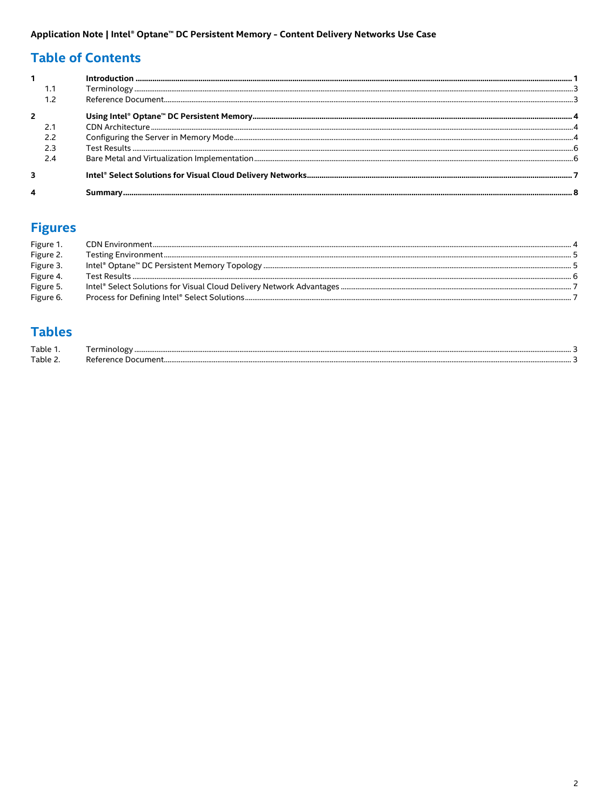### **Table of Contents**

## **Figures**

| Figure 1  |                                                                                                                                                                                                                                                                                                                                                                                                                                                                                                        |  |
|-----------|--------------------------------------------------------------------------------------------------------------------------------------------------------------------------------------------------------------------------------------------------------------------------------------------------------------------------------------------------------------------------------------------------------------------------------------------------------------------------------------------------------|--|
| Figure 2. | $\label{prop:main} \hspace{5mm}\textbf{Testing Environment}\hspace{1mm}\textbf{\textbf{m}}\textbf{\textbf{m}}\textbf{\textbf{m}}\textbf{\textbf{m}}\textbf{\textbf{m}}\textbf{\textbf{m}}\textbf{\textbf{m}}\textbf{\textbf{m}}\textbf{\textbf{m}}\textbf{\textbf{m}}\textbf{\textbf{m}}\textbf{\textbf{m}}\textbf{\textbf{m}}\textbf{\textbf{m}}\textbf{\textbf{m}}\textbf{\textbf{m}}\textbf{\textbf{m}}\textbf{\textbf{m}}\textbf{\textbf{m}}\textbf{\textbf{m}}\textbf{\textbf{m}}\textbf{\textbf$ |  |
| Figure 3. |                                                                                                                                                                                                                                                                                                                                                                                                                                                                                                        |  |
| Figure 4. |                                                                                                                                                                                                                                                                                                                                                                                                                                                                                                        |  |
| Figure 5. |                                                                                                                                                                                                                                                                                                                                                                                                                                                                                                        |  |
| Figure 6. |                                                                                                                                                                                                                                                                                                                                                                                                                                                                                                        |  |

### **Tables**

| $T$ ahle<br>. |  |
|---------------|--|
| Table 7       |  |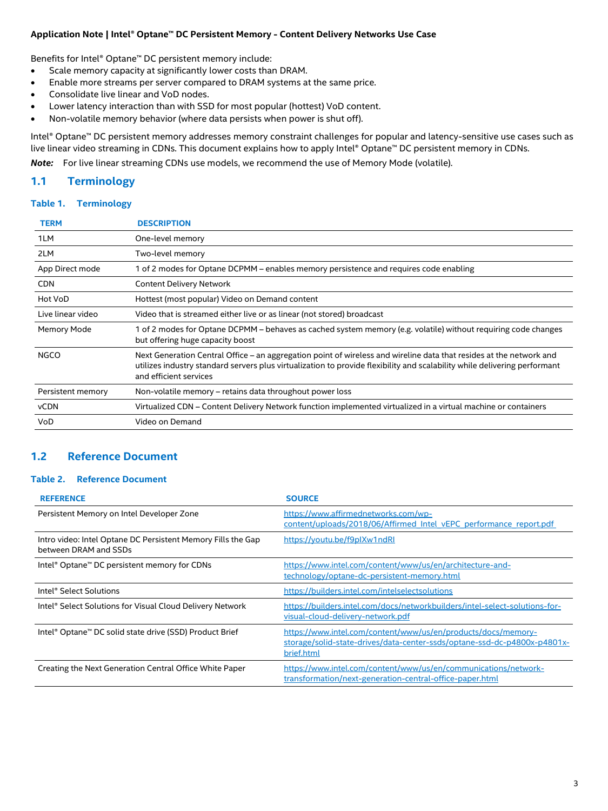Benefits for Intel® Optane™ DC persistent memory include:

- Scale memory capacity at significantly lower costs than DRAM.
- Enable more streams per server compared to DRAM systems at the same price.
- Consolidate live linear and VoD nodes.
- Lower latency interaction than with SSD for most popular (hottest) VoD content.
- Non-volatile memory behavior (where data persists when power is shut off).

Intel® Optane™ DC persistent memory addresses memory constraint challenges for popular and latency-sensitive use cases such as live linear video streaming in CDNs. This document explains how to apply Intel® Optane™ DC persistent memory in CDNs.

*Note:* For live linear streaming CDNs use models, we recommend the use of Memory Mode (volatile).

#### <span id="page-2-0"></span>**1.1 Terminology**

#### <span id="page-2-2"></span>**Table 1. Terminology**

| <b>TERM</b>       | <b>DESCRIPTION</b>                                                                                                                                                                                                                                                         |
|-------------------|----------------------------------------------------------------------------------------------------------------------------------------------------------------------------------------------------------------------------------------------------------------------------|
| 1LM               | One-level memory                                                                                                                                                                                                                                                           |
| 2LM               | Two-level memory                                                                                                                                                                                                                                                           |
| App Direct mode   | of 2 modes for Optane DCPMM – enables memory persistence and requires code enabling                                                                                                                                                                                        |
| <b>CDN</b>        | <b>Content Delivery Network</b>                                                                                                                                                                                                                                            |
| Hot VoD           | Hottest (most popular) Video on Demand content                                                                                                                                                                                                                             |
| Live linear video | Video that is streamed either live or as linear (not stored) broadcast                                                                                                                                                                                                     |
| Memory Mode       | 1 of 2 modes for Optane DCPMM – behaves as cached system memory (e.g. volatile) without requiring code changes<br>but offering huge capacity boost                                                                                                                         |
| <b>NGCO</b>       | Next Generation Central Office – an aggregation point of wireless and wireline data that resides at the network and<br>utilizes industry standard servers plus virtualization to provide flexibility and scalability while delivering performant<br>and efficient services |
| Persistent memory | Non-volatile memory – retains data throughout power loss                                                                                                                                                                                                                   |
| vCDN              | Virtualized CDN – Content Delivery Network function implemented virtualized in a virtual machine or containers                                                                                                                                                             |
| VoD               | Video on Demand                                                                                                                                                                                                                                                            |

#### <span id="page-2-1"></span>**1.2 Reference Document**

#### <span id="page-2-3"></span>**Table 2. Reference Document**

| <b>REFERENCE</b>                                                                      | <b>SOURCE</b>                                                                                                                                           |
|---------------------------------------------------------------------------------------|---------------------------------------------------------------------------------------------------------------------------------------------------------|
| Persistent Memory on Intel Developer Zone                                             | https://www.affirmednetworks.com/wp-<br>content/uploads/2018/06/Affirmed Intel vEPC performance report.pdf                                              |
| Intro video: Intel Optane DC Persistent Memory Fills the Gap<br>between DRAM and SSDs | https://youtu.be/f9plXw1ndRl                                                                                                                            |
| Intel <sup>®</sup> Optane™ DC persistent memory for CDNs                              | https://www.intel.com/content/www/us/en/architecture-and-<br>technology/optane-dc-persistent-memory.html                                                |
| Intel <sup>®</sup> Select Solutions                                                   | https://builders.intel.com/intelselectsolutions                                                                                                         |
| Intel® Select Solutions for Visual Cloud Delivery Network                             | https://builders.intel.com/docs/networkbuilders/intel-select-solutions-for-<br>visual-cloud-delivery-network.pdf                                        |
| Intel® Optane™ DC solid state drive (SSD) Product Brief                               | https://www.intel.com/content/www/us/en/products/docs/memory-<br>storage/solid-state-drives/data-center-ssds/optane-ssd-dc-p4800x-p4801x-<br>brief.html |
| Creating the Next Generation Central Office White Paper                               | https://www.intel.com/content/www/us/en/communications/network-<br>transformation/next-generation-central-office-paper.html                             |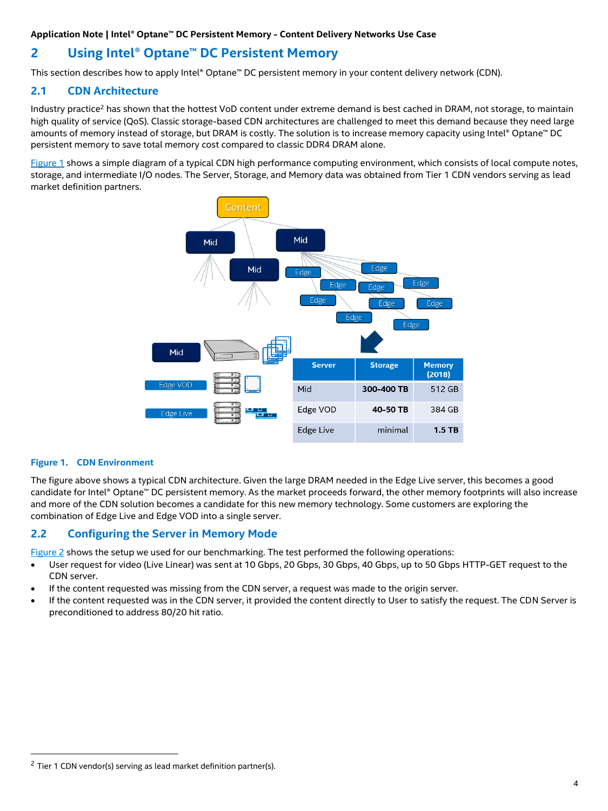### <span id="page-3-0"></span>**2 Using Intel® Optane™ DC Persistent Memory**

This section describes how to apply Intel® Optane™ DC persistent memory in your content delivery network (CDN).

#### <span id="page-3-1"></span>**2.1 CDN Architecture**

Industry practice<sup>2</sup> has shown that the hottest VoD content under extreme demand is best cached in DRAM, not storage, to maintain high quality of service (QoS). Classic storage-based CDN architectures are challenged to meet this demand because they need large amounts of memory instead of storage, but DRAM is costly. The solution is to increase memory capacity using Intel® Optane™ DC persistent memory to save total memory cost compared to classic DDR4 DRAM alone.

[Figure 1](#page-3-3) shows a simple diagram of a typical CDN high performance computing environment, which consists of local compute notes, storage, and intermediate I/O nodes. The Server, Storage, and Memory data was obtained from Tier 1 CDN vendors serving as lead market definition partners.



#### <span id="page-3-3"></span>**Figure 1. CDN Environment**

j

The figure above shows a typical CDN architecture. Given the large DRAM needed in the Edge Live server, this becomes a good candidate for Intel® Optane™ DC persistent memory. As the market proceeds forward, the other memory footprints will also increase and more of the CDN solution becomes a candidate for this new memory technology. Some customers are exploring the combination of Edge Live and Edge VOD into a single server.

#### <span id="page-3-2"></span>**2.2 Configuring the Server in Memory Mode**

[Figure 2](#page-4-0) shows the setup we used for our benchmarking. The test performed the following operations:

- User request for video (Live Linear) was sent at 10 Gbps, 20 Gbps, 30 Gbps, 40 Gbps, up to 50 Gbps HTTP-GET request to the CDN server.
- If the content requested was missing from the CDN server, a request was made to the origin server.
- If the content requested was in the CDN server, it provided the content directly to User to satisfy the request. The CDN Server is preconditioned to address 80/20 hit ratio.

 $2$  Tier 1 CDN vendor(s) serving as lead market definition partner(s).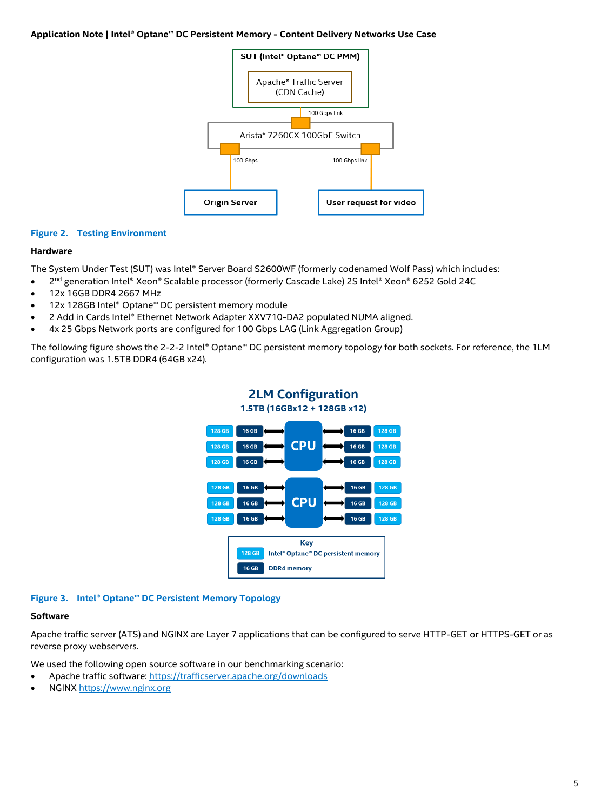

#### <span id="page-4-0"></span>**Figure 2. Testing Environment**

#### **Hardware**

The System Under Test (SUT) was Intel® Server Board S2600WF (formerly codenamed Wolf Pass) which includes:

- 2<sup>nd</sup> generation Intel® Xeon® Scalable processor (formerly Cascade Lake) 2S Intel® Xeon® 6252 Gold 24C
- 12x 16GB DDR4 2667 MHz
- 12x 128GB Intel® Optane™ DC persistent memory module
- 2 Add in Cards Intel® Ethernet Network Adapter XXV710-DA2 populated NUMA aligned.
- 4x 25 Gbps Network ports are configured for 100 Gbps LAG (Link Aggregation Group)

The following figure shows the 2-2-2 Intel® Optane™ DC persistent memory topology for both sockets. For reference, the 1LM configuration was 1.5TB DDR4 (64GB x24).



#### <span id="page-4-1"></span>**Figure 3. Intel® Optane™ DC Persistent Memory Topology**

#### **Software**

Apache traffic server (ATS) and NGINX are Layer 7 applications that can be configured to serve HTTP-GET or HTTPS-GET or as reverse proxy webservers.

We used the following open source software in our benchmarking scenario:

- Apache traffic software:<https://trafficserver.apache.org/downloads>
- NGINX [https://www.nginx.org](https://www.nginx.org/)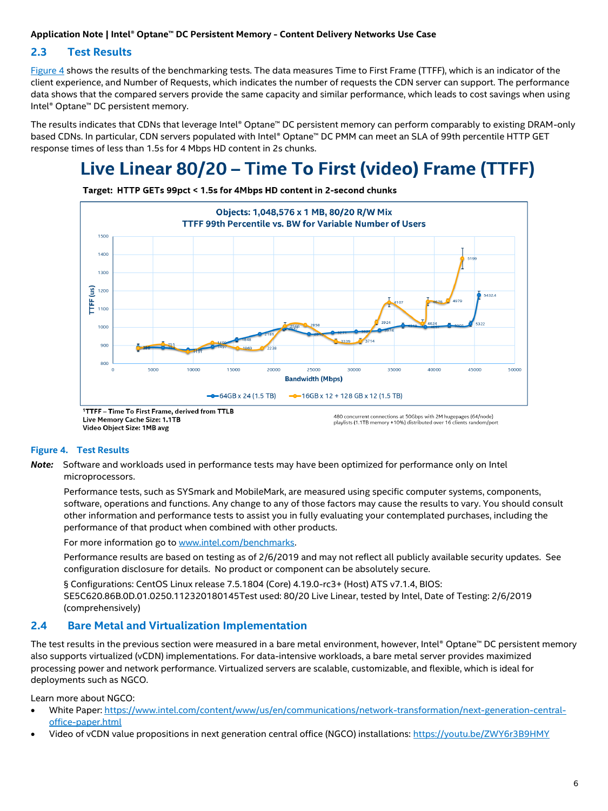#### <span id="page-5-0"></span>**2.3 Test Results**

[Figure 4](#page-5-2) shows the results of the benchmarking tests. The data measures Time to First Frame (TTFF), which is an indicator of the client experience, and Number of Requests, which indicates the number of requests the CDN server can support. The performance data shows that the compared servers provide the same capacity and similar performance, which leads to cost savings when using Intel® Optane™ DC persistent memory.

The results indicates that CDNs that leverage Intel® Optane™ DC persistent memory can perform comparably to existing DRAM-only based CDNs. In particular, CDN servers populated with Intel® Optane™ DC PMM can meet an SLA of 99th percentile HTTP GET response times of less than 1.5s for 4 Mbps HD content in 2s chunks.

## Live Linear 80/20 - Time To First (video) Frame (TTFF)



Target: HTTP GETs 99pct < 1.5s for 4Mbps HD content in 2-second chunks

Video Object Size: 1MB avg

#### <span id="page-5-2"></span>**Figure 4. Test Results**

*Note:* Software and workloads used in performance tests may have been optimized for performance only on Intel microprocessors.

Performance tests, such as SYSmark and MobileMark, are measured using specific computer systems, components, software, operations and functions. Any change to any of those factors may cause the results to vary. You should consult other information and performance tests to assist you in fully evaluating your contemplated purchases, including the performance of that product when combined with other products.

For more information go to [www.intel.com/benchmarks.](http://www.intel.com/benchmarks)

Performance results are based on testing as of 2/6/2019 and may not reflect all publicly available security updates. See configuration disclosure for details. No product or component can be absolutely secure.

§ Configurations: CentOS Linux release 7.5.1804 (Core) 4.19.0-rc3+ (Host) ATS v7.1.4, BIOS: SE5C620.86B.0D.01.0250.112320180145Test used: 80/20 Live Linear, tested by Intel, Date of Testing: 2/6/2019 (comprehensively)

#### <span id="page-5-1"></span>**2.4 Bare Metal and Virtualization Implementation**

The test results in the previous section were measured in a bare metal environment, however, Intel® Optane™ DC persistent memory also supports virtualized (vCDN) implementations. For data-intensive workloads, a bare metal server provides maximized processing power and network performance. Virtualized servers are scalable, customizable, and flexible, which is ideal for deployments such as NGCO.

Learn more about NGCO:

- White Paper: [https://www.intel.com/content/www/us/en/communications/network-transformation/next-generation-central](https://www.intel.com/content/www/us/en/communications/network-transformation/next-generation-central-office-paper.html)[office-paper.html](https://www.intel.com/content/www/us/en/communications/network-transformation/next-generation-central-office-paper.html)
- Video of vCDN value propositions in next generation central office (NGCO) installations: <https://youtu.be/ZWY6r3B9HMY>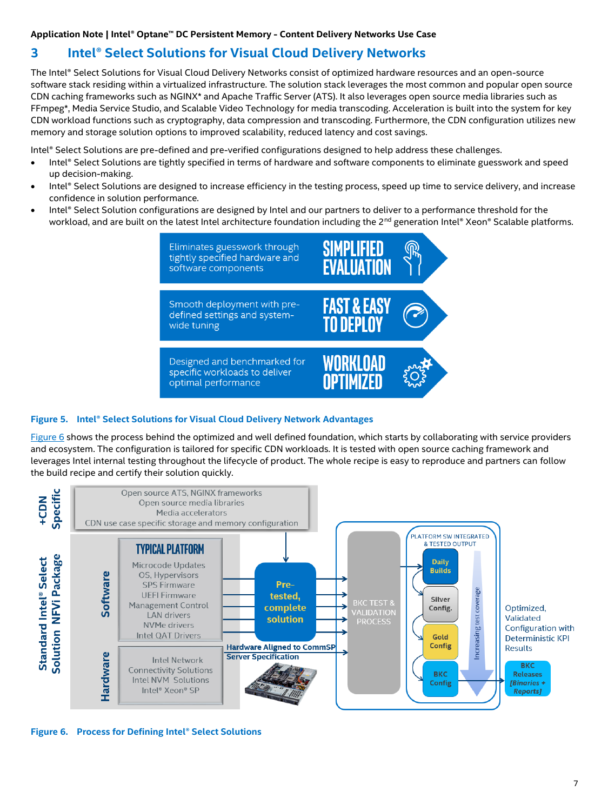### <span id="page-6-0"></span>**3 Intel® Select Solutions for Visual Cloud Delivery Networks**

The Intel® Select Solutions for Visual Cloud Delivery Networks consist of optimized hardware resources and an open-source software stack residing within a virtualized infrastructure. The solution stack leverages the most common and popular open source CDN caching frameworks such as NGINX\* and Apache Traffic Server (ATS). It also leverages open source media libraries such as FFmpeg\*, Media Service Studio, and Scalable Video Technology for media transcoding. Acceleration is built into the system for key CDN workload functions such as cryptography, data compression and transcoding. Furthermore, the CDN configuration utilizes new memory and storage solution options to improved scalability, reduced latency and cost savings.

Intel® Select Solutions are pre-defined and pre-verified configurations designed to help address these challenges.

- Intel® Select Solutions are tightly specified in terms of hardware and software components to eliminate guesswork and speed up decision-making.
- Intel® Select Solutions are designed to increase efficiency in the testing process, speed up time to service delivery, and increase confidence in solution performance.
- Intel® Select Solution configurations are designed by Intel and our partners to deliver to a performance threshold for the workload, and are built on the latest Intel architecture foundation including the 2<sup>nd</sup> generation Intel® Xeon® Scalable platforms.



#### <span id="page-6-1"></span>**Figure 5. Intel® Select Solutions for Visual Cloud Delivery Network Advantages**

[Figure 6](#page-6-2) shows the process behind the optimized and well defined foundation, which starts by collaborating with service providers and ecosystem. The configuration is tailored for specific CDN workloads. It is tested with open source caching framework and leverages Intel internal testing throughout the lifecycle of product. The whole recipe is easy to reproduce and partners can follow the build recipe and certify their solution quickly.



<span id="page-6-2"></span>**Figure 6. Process for Defining Intel® Select Solutions**